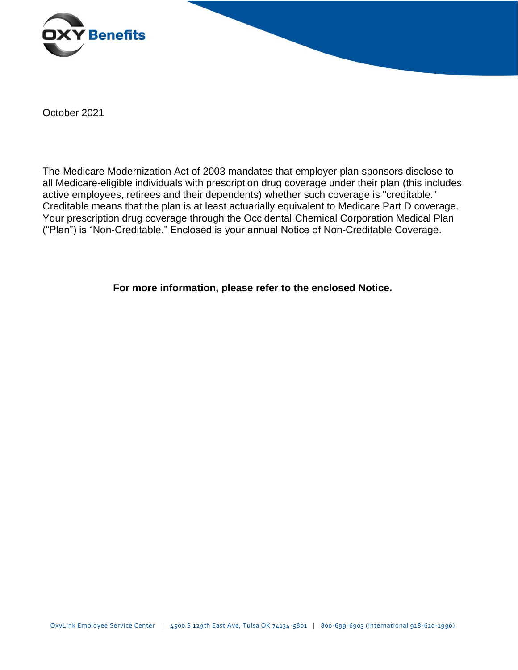

October 2021

The Medicare Modernization Act of 2003 mandates that employer plan sponsors disclose to all Medicare-eligible individuals with prescription drug coverage under their plan (this includes active employees, retirees and their dependents) whether such coverage is "creditable." Creditable means that the plan is at least actuarially equivalent to Medicare Part D coverage. Your prescription drug coverage through the Occidental Chemical Corporation Medical Plan ("Plan") is "Non-Creditable." Enclosed is your annual Notice of Non-Creditable Coverage.

**For more information, please refer to the enclosed Notice.**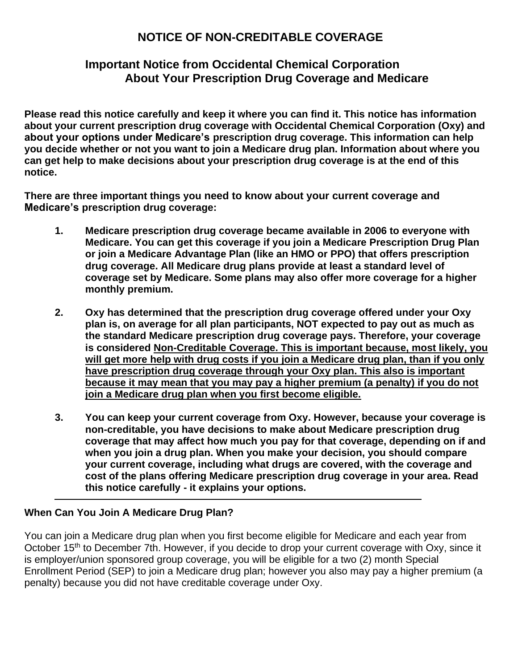# **NOTICE OF NON-CREDITABLE COVERAGE**

# **Important Notice from Occidental Chemical Corporation About Your Prescription Drug Coverage and Medicare**

**Please read this notice carefully and keep it where you can find it. This notice has information about your current prescription drug coverage with Occidental Chemical Corporation (Oxy) and about your options under Medicare's prescription drug coverage. This information can help you decide whether or not you want to join a Medicare drug plan. Information about where you can get help to make decisions about your prescription drug coverage is at the end of this notice.**

**There are three important things you need to know about your current coverage and Medicare's prescription drug coverage:**

- **1. Medicare prescription drug coverage became available in 2006 to everyone with Medicare. You can get this coverage if you join a Medicare Prescription Drug Plan or join a Medicare Advantage Plan (like an HMO or PPO) that offers prescription drug coverage. All Medicare drug plans provide at least a standard level of coverage set by Medicare. Some plans may also offer more coverage for a higher monthly premium.**
- **2. Oxy has determined that the prescription drug coverage offered under your Oxy plan is, on average for all plan participants, NOT expected to pay out as much as the standard Medicare prescription drug coverage pays. Therefore, your coverage is considered Non-Creditable Coverage. This is important because, most likely, you will get more help with drug costs if you join a Medicare drug plan, than if you only have prescription drug coverage through your Oxy plan. This also is important because it may mean that you may pay a higher premium (a penalty) if you do not join a Medicare drug plan when you first become eligible.**
- **3. You can keep your current coverage from Oxy. However, because your coverage is non-creditable, you have decisions to make about Medicare prescription drug coverage that may affect how much you pay for that coverage, depending on if and when you join a drug plan. When you make your decision, you should compare your current coverage, including what drugs are covered, with the coverage and cost of the plans offering Medicare prescription drug coverage in your area. Read this notice carefully - it explains your options.**

## **When Can You Join A Medicare Drug Plan?**

You can join a Medicare drug plan when you first become eligible for Medicare and each year from October 15<sup>th</sup> to December 7th. However, if you decide to drop your current coverage with Oxy, since it is employer/union sponsored group coverage, you will be eligible for a two (2) month Special Enrollment Period (SEP) to join a Medicare drug plan; however you also may pay a higher premium (a penalty) because you did not have creditable coverage under Oxy.